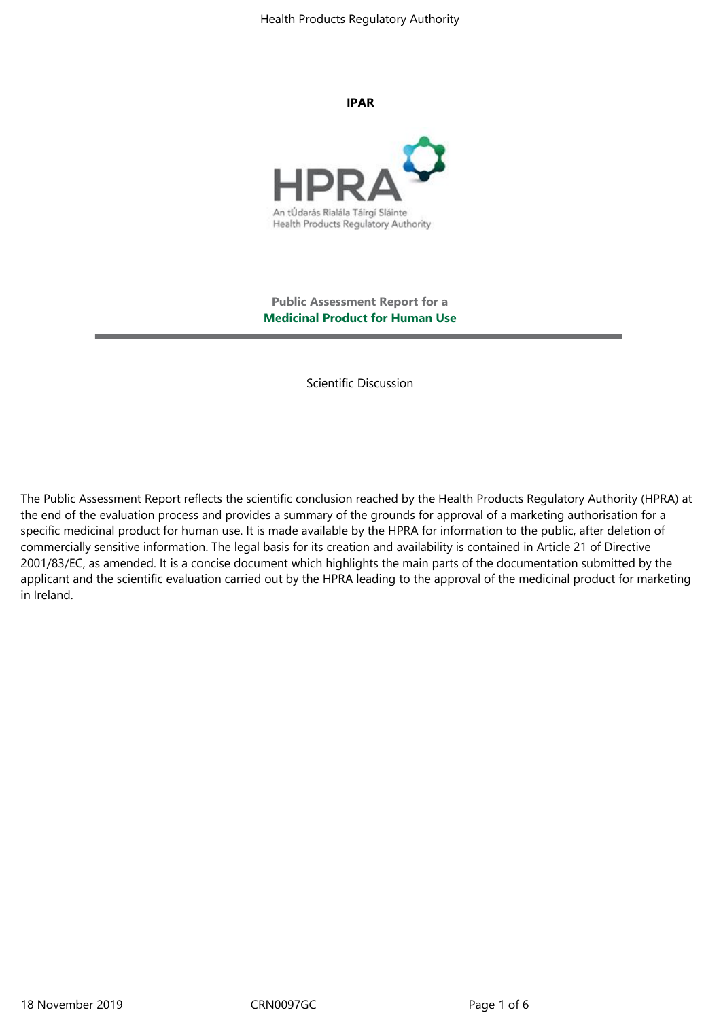Health Products Regulatory Authority

**IPAR**



**Public Assessment Report for a Medicinal Product for Human Use**

Scientific Discussion

The Public Assessment Report reflects the scientific conclusion reached by the Health Products Regulatory Authority (HPRA) at the end of the evaluation process and provides a summary of the grounds for approval of a marketing authorisation for a specific medicinal product for human use. It is made available by the HPRA for information to the public, after deletion of commercially sensitive information. The legal basis for its creation and availability is contained in Article 21 of Directive 2001/83/EC, as amended. It is a concise document which highlights the main parts of the documentation submitted by the applicant and the scientific evaluation carried out by the HPRA leading to the approval of the medicinal product for marketing in Ireland.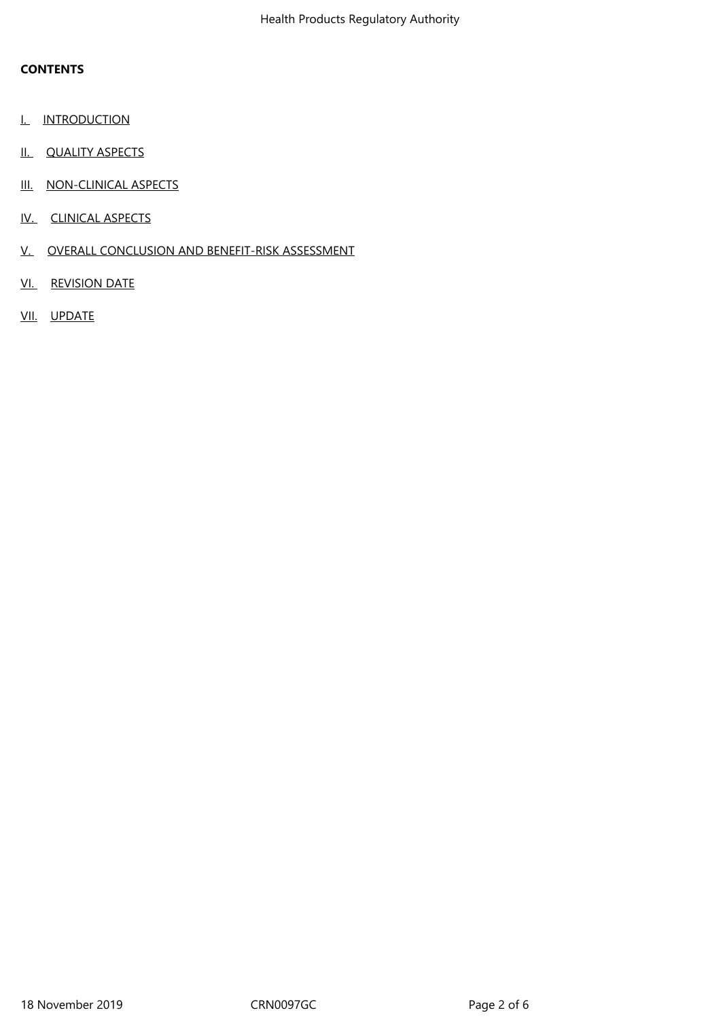# **CONTENTS**

- **I.** INTRODUCTION
- II. QUALITY ASPECTS
- III. NON-CLINICAL ASPECTS
- IV. CLINICAL ASPECTS
- V. OVERALL CONCLUSION AND BENEFIT-RISK ASSESSMENT
- VI. REVISION DATE
- VII. UPDATE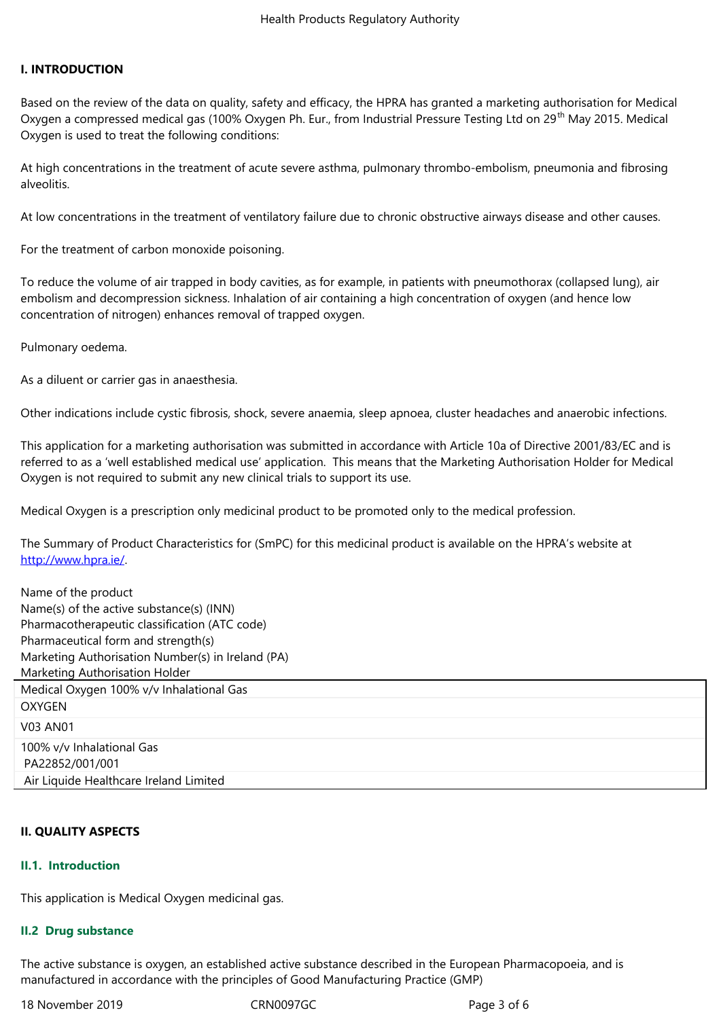#### **I. INTRODUCTION**

Based on the review of the data on quality, safety and efficacy, the HPRA has granted a marketing authorisation for Medical Oxygen a compressed medical gas (100% Oxygen Ph. Eur., from Industrial Pressure Testing Ltd on 29<sup>th</sup> May 2015. Medical Oxygen is used to treat the following conditions:

At high concentrations in the treatment of acute severe asthma, pulmonary thrombo-embolism, pneumonia and fibrosing alveolitis.

At low concentrations in the treatment of ventilatory failure due to chronic obstructive airways disease and other causes.

For the treatment of carbon monoxide poisoning.

To reduce the volume of air trapped in body cavities, as for example, in patients with pneumothorax (collapsed lung), air embolism and decompression sickness. Inhalation of air containing a high concentration of oxygen (and hence low concentration of nitrogen) enhances removal of trapped oxygen.

Pulmonary oedema.

As a diluent or carrier gas in anaesthesia.

Other indications include cystic fibrosis, shock, severe anaemia, sleep apnoea, cluster headaches and anaerobic infections.

This application for a marketing authorisation was submitted in accordance with Article 10a of Directive 2001/83/EC and is referred to as a 'well established medical use' application. This means that the Marketing Authorisation Holder for Medical Oxygen is not required to submit any new clinical trials to support its use.

Medical Oxygen is a prescription only medicinal product to be promoted only to the medical profession.

The Summary of Product Characteristics for (SmPC) for this medicinal product is available on the HPRA's website at http://www.hpra.ie/.

| Name of the product                               |
|---------------------------------------------------|
| Name(s) of the active substance(s) (INN)          |
| Pharmacotherapeutic classification (ATC code)     |
| Pharmaceutical form and strength(s)               |
| Marketing Authorisation Number(s) in Ireland (PA) |
| Marketing Authorisation Holder                    |
| Medical Oxygen 100% v/v Inhalational Gas          |
| <b>OXYGEN</b>                                     |
| V03 AN01                                          |
| 100% v/v Inhalational Gas                         |
| PA22852/001/001                                   |
| Air Liquide Healthcare Ireland Limited            |

### **II. QUALITY ASPECTS**

### **II.1. Introduction**

This application is Medical Oxygen medicinal gas.

### **II.2 Drug substance**

The active substance is oxygen, an established active substance described in the European Pharmacopoeia, and is manufactured in accordance with the principles of Good Manufacturing Practice (GMP)

18 November 2019 CRN0097GC Page 3 of 6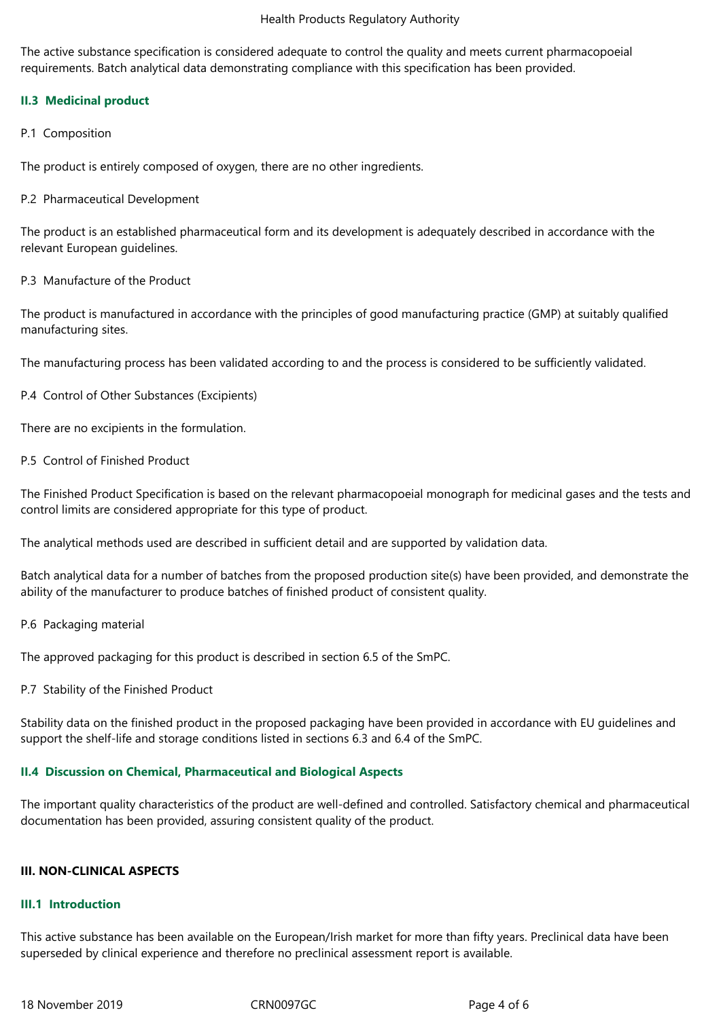#### Health Products Regulatory Authority

The active substance specification is considered adequate to control the quality and meets current pharmacopoeial requirements. Batch analytical data demonstrating compliance with this specification has been provided.

## **II.3 Medicinal product**

P.1 Composition

The product is entirely composed of oxygen, there are no other ingredients.

P.2 Pharmaceutical Development

The product is an established pharmaceutical form and its development is adequately described in accordance with the relevant European guidelines.

P.3 Manufacture of the Product

The product is manufactured in accordance with the principles of good manufacturing practice (GMP) at suitably qualified manufacturing sites.

The manufacturing process has been validated according to and the process is considered to be sufficiently validated.

P.4 Control of Other Substances (Excipients)

There are no excipients in the formulation.

P.5 Control of Finished Product

The Finished Product Specification is based on the relevant pharmacopoeial monograph for medicinal gases and the tests and control limits are considered appropriate for this type of product.

The analytical methods used are described in sufficient detail and are supported by validation data.

Batch analytical data for a number of batches from the proposed production site(s) have been provided, and demonstrate the ability of the manufacturer to produce batches of finished product of consistent quality.

P.6 Packaging material

The approved packaging for this product is described in section 6.5 of the SmPC.

P.7 Stability of the Finished Product

Stability data on the finished product in the proposed packaging have been provided in accordance with EU guidelines and support the shelf-life and storage conditions listed in sections 6.3 and 6.4 of the SmPC.

# **II.4 Discussion on Chemical, Pharmaceutical and Biological Aspects**

The important quality characteristics of the product are well-defined and controlled. Satisfactory chemical and pharmaceutical documentation has been provided, assuring consistent quality of the product.

## **III. NON-CLINICAL ASPECTS**

### **III.1 Introduction**

This active substance has been available on the European/Irish market for more than fifty years. Preclinical data have been superseded by clinical experience and therefore no preclinical assessment report is available.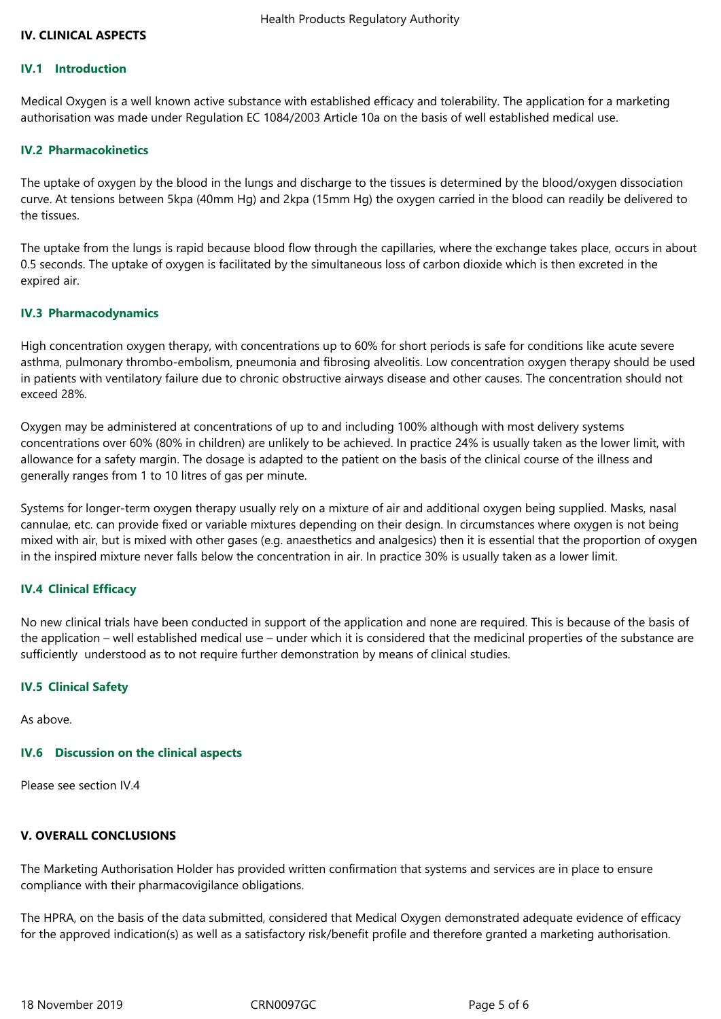### **IV. CLINICAL ASPECTS**

#### **IV.1 Introduction**

Medical Oxygen is a well known active substance with established efficacy and tolerability. The application for a marketing authorisation was made under Regulation EC 1084/2003 Article 10a on the basis of well established medical use.

#### **IV.2 Pharmacokinetics**

The uptake of oxygen by the blood in the lungs and discharge to the tissues is determined by the blood/oxygen dissociation curve. At tensions between 5kpa (40mm Hg) and 2kpa (15mm Hg) the oxygen carried in the blood can readily be delivered to the tissues.

The uptake from the lungs is rapid because blood flow through the capillaries, where the exchange takes place, occurs in about 0.5 seconds. The uptake of oxygen is facilitated by the simultaneous loss of carbon dioxide which is then excreted in the expired air.

#### **IV.3 Pharmacodynamics**

High concentration oxygen therapy, with concentrations up to 60% for short periods is safe for conditions like acute severe asthma, pulmonary thrombo-embolism, pneumonia and fibrosing alveolitis. Low concentration oxygen therapy should be used in patients with ventilatory failure due to chronic obstructive airways disease and other causes. The concentration should not exceed 28%.

Oxygen may be administered at concentrations of up to and including 100% although with most delivery systems concentrations over 60% (80% in children) are unlikely to be achieved. In practice 24% is usually taken as the lower limit, with allowance for a safety margin. The dosage is adapted to the patient on the basis of the clinical course of the illness and generally ranges from 1 to 10 litres of gas per minute.

Systems for longer-term oxygen therapy usually rely on a mixture of air and additional oxygen being supplied. Masks, nasal cannulae, etc. can provide fixed or variable mixtures depending on their design. In circumstances where oxygen is not being mixed with air, but is mixed with other gases (e.g. anaesthetics and analgesics) then it is essential that the proportion of oxygen in the inspired mixture never falls below the concentration in air. In practice 30% is usually taken as a lower limit.

### **IV.4 Clinical Efficacy**

No new clinical trials have been conducted in support of the application and none are required. This is because of the basis of the application – well established medical use – under which it is considered that the medicinal properties of the substance are sufficiently understood as to not require further demonstration by means of clinical studies.

### **IV.5 Clinical Safety**

As above.

### **IV.6 Discussion on the clinical aspects**

Please see section IV.4

#### **V. OVERALL CONCLUSIONS**

The Marketing Authorisation Holder has provided written confirmation that systems and services are in place to ensure compliance with their pharmacovigilance obligations.

The HPRA, on the basis of the data submitted, considered that Medical Oxygen demonstrated adequate evidence of efficacy for the approved indication(s) as well as a satisfactory risk/benefit profile and therefore granted a marketing authorisation.